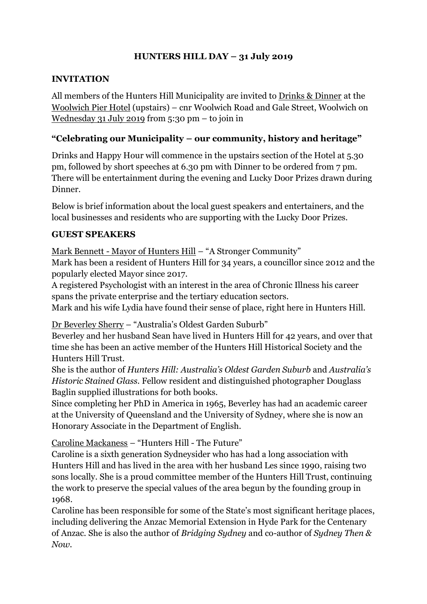## **HUNTERS HILL DAY – 31 July 2019**

#### **INVITATION**

All members of the Hunters Hill Municipality are invited to Drinks & Dinner at the Woolwich Pier Hotel (upstairs) – cnr Woolwich Road and Gale Street, Woolwich on Wednesday 31 July 2019 from 5:30 pm – to join in

## **"Celebrating our Municipality – our community, history and heritage"**

Drinks and Happy Hour will commence in the upstairs section of the Hotel at 5.30 pm, followed by short speeches at 6.30 pm with Dinner to be ordered from 7 pm. There will be entertainment during the evening and Lucky Door Prizes drawn during Dinner.

Below is brief information about the local guest speakers and entertainers, and the local businesses and residents who are supporting with the Lucky Door Prizes.

## **GUEST SPEAKERS**

Mark Bennett - Mayor of Hunters Hill – "A Stronger Community"

Mark has been a resident of Hunters Hill for 34 years, a councillor since 2012 and the popularly elected Mayor since 2017.

A registered Psychologist with an interest in the area of Chronic Illness his career spans the private enterprise and the tertiary education sectors.

Mark and his wife Lydia have found their sense of place, right here in Hunters Hill.

Dr Beverley Sherry – "Australia's Oldest Garden Suburb"

Beverley and her husband Sean have lived in Hunters Hill for 42 years, and over that time she has been an active member of the Hunters Hill Historical Society and the Hunters Hill Trust.

She is the author of *Hunters Hill: Australia's Oldest Garden Suburb* and *Australia's Historic Stained Glass.* Fellow resident and distinguished photographer Douglass Baglin supplied illustrations for both books.

Since completing her PhD in America in 1965, Beverley has had an academic career at the University of Queensland and the University of Sydney, where she is now an Honorary Associate in the Department of English.

Caroline Mackaness – "Hunters Hill - The Future"

Caroline is a sixth generation Sydneysider who has had a long association with Hunters Hill and has lived in the area with her husband Les since 1990, raising two sons locally. She is a proud committee member of the Hunters Hill Trust, continuing the work to preserve the special values of the area begun by the founding group in 1968.

Caroline has been responsible for some of the State's most significant heritage places, including delivering the Anzac Memorial Extension in Hyde Park for the Centenary of Anzac. She is also the author of *Bridging Sydney* and co-author of *Sydney Then & Now.*